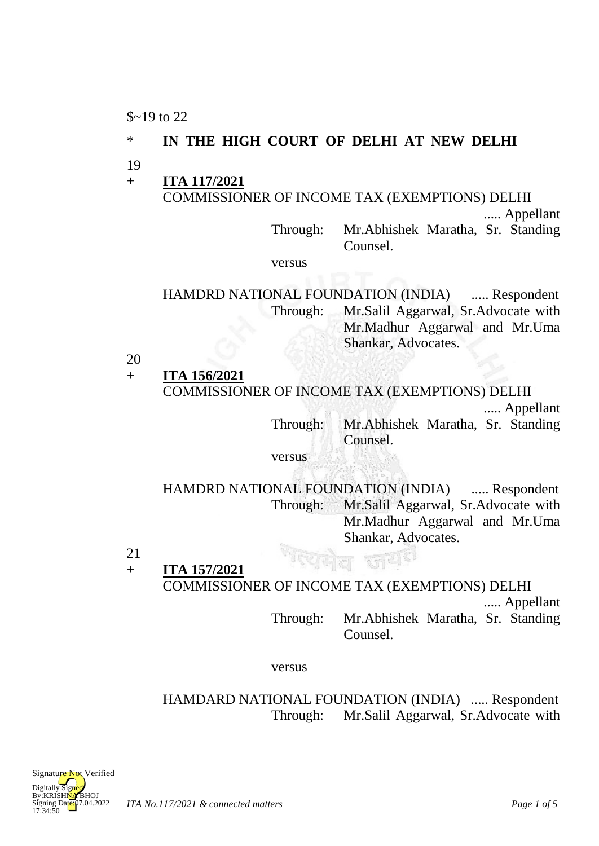$$219$  to 22

#### \* **IN THE HIGH COURT OF DELHI AT NEW DELHI**

- 19
- + **ITA 117/2021** COMMISSIONER OF INCOME TAX (EXEMPTIONS) DELHI ..... Appellant

Through: Mr.Abhishek Maratha, Sr. Standing Counsel.

versus

HAMDRD NATIONAL FOUNDATION (INDIA) ..... Respondent Through: Mr.Salil Aggarwal, Sr.Advocate with Mr.Madhur Aggarwal and Mr.Uma Shankar, Advocates.

20

+ **ITA 156/2021** COMMISSIONER OF INCOME TAX (EXEMPTIONS) DELHI ..... Appellant

Through: Mr.Abhishek Maratha, Sr. Standing Counsel.

versus

HAMDRD NATIONAL FOUNDATION (INDIA) ..... Respondent Through: Mr.Salil Aggarwal, Sr.Advocate with Mr.Madhur Aggarwal and Mr.Uma Shankar, Advocates.

21  $+$ **ITA 157/2021** COMMISSIONER OF INCOME TAX (EXEMPTIONS) DELHI

..... Appellant

Through: Mr.Abhishek Maratha, Sr. Standing Counsel.

versus

Through: Mr.Salil Aggarwal, Sr.Advocate with HAMDARD NATIONAL FOUNDATION (INDIA) ..... Respondent

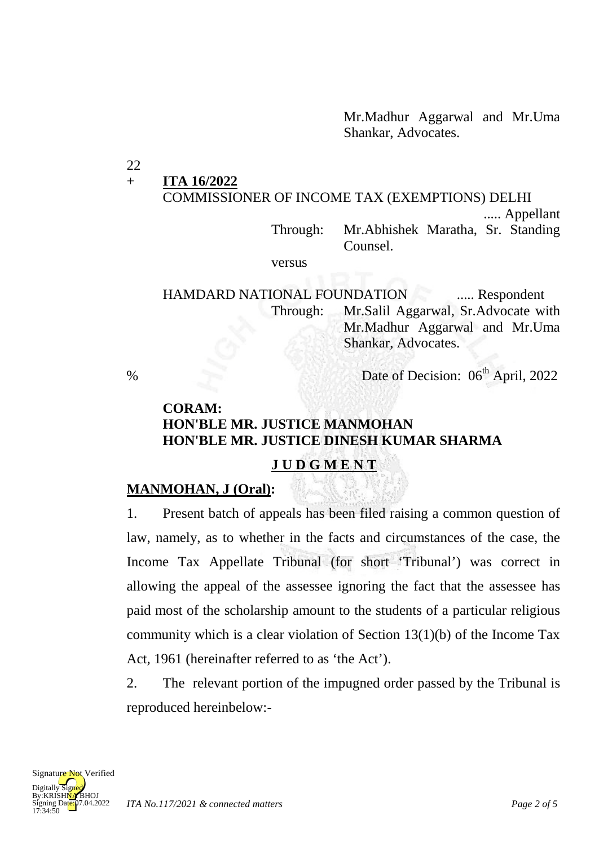Mr.Madhur Aggarwal and Mr.Uma Shankar, Advocates.

22

#### + **ITA 16/2022**

# COMMISSIONER OF INCOME TAX (EXEMPTIONS) DELHI

..... Appellant

Through: Mr.Abhishek Maratha, Sr. Standing Counsel.

versus

HAMDARD NATIONAL FOUNDATION ..... Respondent Through: Mr.Salil Aggarwal, Sr.Advocate with Mr.Madhur Aggarwal and Mr.Uma Shankar, Advocates.

% Date of Decision:  $06<sup>th</sup>$  April, 2022

## **CORAM: HON'BLE MR. JUSTICE MANMOHAN HON'BLE MR. JUSTICE DINESH KUMAR SHARMA**

#### **J U D G M E N T**

### **MANMOHAN, J (Oral) :**

1. Present batch of appeals has been filed raising a common question of law, namely, as to whether in the facts and circumstances of the case, the Income Tax Appellate Tribunal (for short 'Tribunal') was correct in allowing the appeal of the assessee ignoring the fact that the assessee has paid most of the scholarship amount to the students of a particular religious community which is a clear violation of Section 13(1)(b) of the Income Tax Act, 1961 (hereinafter referred to as 'the Act').

2. The relevant portion of the impugned order passed by the Tribunal is reproduced hereinbelow:-

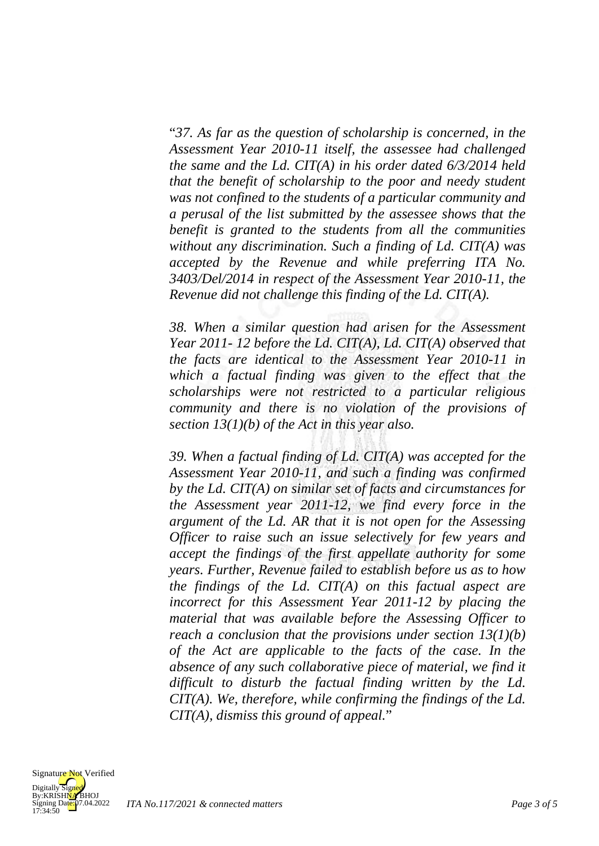"*37. As far as the question of scholarship is concerned, in the Assessment Year 2010-11 itself, the assessee had challenged the same and the Ld. CIT(A) in his order dated 6/3/2014 held that the benefit of scholarship to the poor and needy student was not confined to the students of a particular community and a perusal of the list submitted by the assessee shows that the benefit is granted to the students from all the communities without any discrimination. Such a finding of Ld. CIT(A) was accepted by the Revenue and while preferring ITA No. 3403/Del/2014 in respect of the Assessment Year 2010-11, the Revenue did not challenge this finding of the Ld. CIT(A).*

*38. When a similar question had arisen for the Assessment Year 2011- 12 before the Ld. CIT(A), Ld. CIT(A) observed that the facts are identical to the Assessment Year 2010-11 in which a factual finding was given to the effect that the scholarships were not restricted to a particular religious community and there is no violation of the provisions of section 13(1)(b) of the Act in this year also.*

*39. When a factual finding of Ld. CIT(A) was accepted for the Assessment Year 2010-11, and such a finding was confirmed by the Ld. CIT(A) on similar set of facts and circumstances for the Assessment year 2011-12, we find every force in the argument of the Ld. AR that it is not open for the Assessing Officer to raise such an issue selectively for few years and accept the findings of the first appellate authority for some years. Further, Revenue failed to establish before us as to how the findings of the Ld. CIT(A) on this factual aspect are incorrect for this Assessment Year 2011-12 by placing the material that was available before the Assessing Officer to reach a conclusion that the provisions under section 13(1)(b) of the Act are applicable to the facts of the case. In the absence of any such collaborative piece of material, we find it difficult to disturb the factual finding written by the Ld. CIT(A). We, therefore, while confirming the findings of the Ld. CIT(A), dismiss this ground of appeal.*"

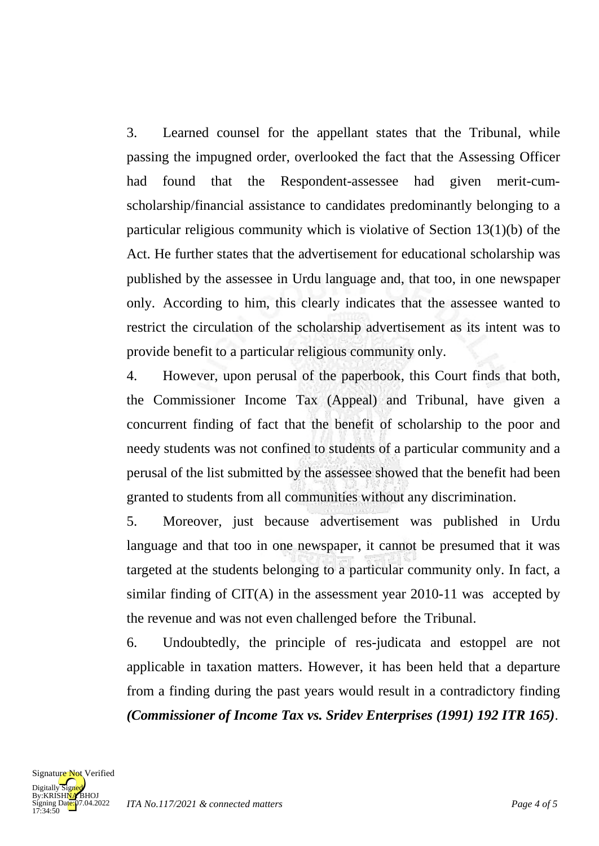3. Learned counsel for the appellant states that the Tribunal, while passing the impugned order, overlooked the fact that the Assessing Officer had found that the Respondent-assessee had given merit-cumscholarship/financial assistance to candidates predominantly belonging to a particular religious community which is violative of Section 13(1)(b) of the Act. He further states that the advertisement for educational scholarship was published by the assessee in Urdu language and, that too, in one newspaper only. According to him, this clearly indicates that the assessee wanted to restrict the circulation of the scholarship advertisement as its intent was to provide benefit to a particular religious community only.

4. However, upon perusal of the paperbook, this Court finds that both, the Commissioner Income Tax (Appeal) and Tribunal, have given a concurrent finding of fact that the benefit of scholarship to the poor and needy students was not confined to students of a particular community and a perusal of the list submitted by the assessee showed that the benefit had been granted to students from all communities without any discrimination.

5. Moreover, just because advertisement was published in Urdu language and that too in one newspaper, it cannot be presumed that it was targeted at the students belonging to a particular community only. In fact, a similar finding of CIT(A) in the assessment year 2010-11 was accepted by the revenue and was not even challenged before the Tribunal.

6. Undoubtedly, the principle of res-judicata and estoppel are not applicable in taxation matters. However, it has been held that a departure from a finding during the past years would result in a contradictory finding *(Commissioner of Income Tax vs. Sridev Enterprises (1991) 192 ITR 165)*.